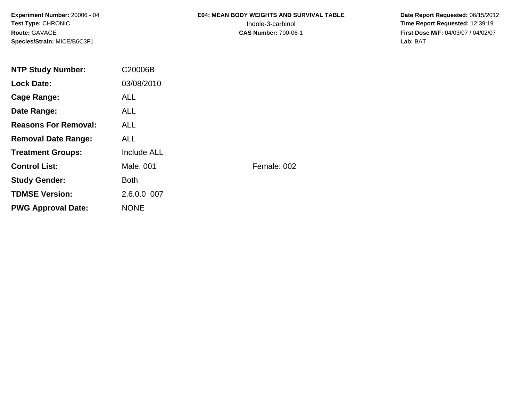**Experiment Number:** 20006 - 04**Test Type:** CHRONIC**Route:** GAVAGE**Species/Strain:** MICE/B6C3F1

# **E04: MEAN BODY WEIGHTS AND SURVIVAL TABLE**

 **Date Report Requested:** 06/15/2012 Indole-3-carbinol **Time Report Requested:** 12:39:19 **First Dose M/F:** 04/03/07 / 04/02/07<br>Lab: BAT **Lab:** BAT

| <b>NTP Study Number:</b>    | C20006B     |             |
|-----------------------------|-------------|-------------|
| <b>Lock Date:</b>           | 03/08/2010  |             |
| Cage Range:                 | <b>ALL</b>  |             |
| Date Range:                 | ALL.        |             |
| <b>Reasons For Removal:</b> | ALL.        |             |
| <b>Removal Date Range:</b>  | ALL.        |             |
| <b>Treatment Groups:</b>    | Include ALL |             |
| <b>Control List:</b>        | Male: 001   | Female: 002 |
| <b>Study Gender:</b>        | <b>Both</b> |             |
| <b>TDMSE Version:</b>       | 2.6.0.0 007 |             |
| <b>PWG Approval Date:</b>   | <b>NONE</b> |             |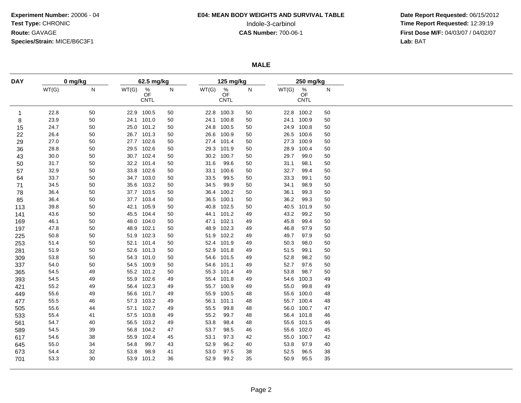# **E04: MEAN BODY WEIGHTS AND SURVIVAL TABLE**

 **Date Report Requested:** 06/15/2012 Indole-3-carbinol **Time Report Requested:** 12:39:19 **First Dose M/F:** 04/03/07 / 04/02/07<br>Lab: BAT **Lab:** BAT

**MALE**

| <b>DAY</b>   |       | 0 mg/kg |       | 62.5 mg/kg                                  |    |       | 125 mg/kg                 |        |       | 250 mg/kg                             |    |  |
|--------------|-------|---------|-------|---------------------------------------------|----|-------|---------------------------|--------|-------|---------------------------------------|----|--|
|              | WT(G) | N       | WT(G) | $\stackrel{\%}{\mathsf{OF}}$<br><b>CNTL</b> | N  | WT(G) | $\%$<br>ÓF<br><b>CNTL</b> | N      | WT(G) | $\frac{\%}{\text{OF}}$<br><b>CNTL</b> | N  |  |
| $\mathbf{1}$ | 22.8  | 50      |       | 22.9 100.5                                  | 50 |       | 22.8 100.3                | 50     |       | 22.8 100.2                            | 50 |  |
| 8            | 23.9  | 50      |       | 24.1 101.0                                  | 50 |       | 24.1 100.8                | 50     |       | 24.1 100.9                            | 50 |  |
| 15           | 24.7  | 50      |       | 25.0 101.2                                  | 50 | 24.8  | 100.5                     | 50     | 24.9  | 100.8                                 | 50 |  |
| 22           | 26.4  | 50      |       | 26.7 101.3                                  | 50 | 26.6  | 100.9                     | 50     | 26.5  | 100.6                                 | 50 |  |
| 29           | 27.0  | 50      |       | 27.7 102.6                                  | 50 |       | 27.4 101.4                | 50     | 27.3  | 100.9                                 | 50 |  |
| 36           | 28.8  | 50      |       | 29.5 102.6                                  | 50 |       | 29.3 101.9                | 50     | 28.9  | 100.4                                 | 50 |  |
| 43           | 30.0  | 50      |       | 30.7 102.4                                  | 50 |       | 30.2 100.7                | 50     | 29.7  | 99.0                                  | 50 |  |
| 50           | 31.7  | 50      |       | 32.2 101.4                                  | 50 | 31.6  | 99.6                      | 50     | 31.1  | 98.1                                  | 50 |  |
| 57           | 32.9  | 50      |       | 33.8 102.6                                  | 50 | 33.1  | 100.6                     | $50\,$ | 32.7  | 99.4                                  | 50 |  |
| 64           | 33.7  | 50      |       | 34.7 103.0                                  | 50 | 33.5  | 99.5                      | $50\,$ | 33.3  | 99.1                                  | 50 |  |
| 71           | 34.5  | 50      |       | 35.6 103.2                                  | 50 | 34.5  | 99.9                      | 50     | 34.1  | 98.9                                  | 50 |  |
| 78           | 36.4  | 50      |       | 37.7 103.5                                  | 50 | 36.4  | 100.2                     | 50     | 36.1  | 99.3                                  | 50 |  |
| 85           | 36.4  | 50      |       | 37.7 103.4                                  | 50 |       | 36.5 100.1                | 50     | 36.2  | 99.3                                  | 50 |  |
| 113          | 39.8  | 50      |       | 42.1 105.9                                  | 50 | 40.8  | 102.5                     | 50     | 40.5  | 101.9                                 | 50 |  |
| 141          | 43.6  | 50      |       | 45.5 104.4                                  | 50 |       | 44.1 101.2                | 49     | 43.2  | 99.2                                  | 50 |  |
| 169          | 46.1  | 50      |       | 48.0 104.0                                  | 50 |       | 47.1 102.1                | 49     | 45.8  | 99.4                                  | 50 |  |
| 197          | 47.8  | 50      |       | 48.9 102.1                                  | 50 | 48.9  | 102.3                     | 49     | 46.8  | 97.9                                  | 50 |  |
| 225          | 50.8  | 50      |       | 51.9 102.3                                  | 50 |       | 51.9 102.2                | 49     | 49.7  | 97.9                                  | 50 |  |
| 253          | 51.4  | 50      |       | 52.1 101.4                                  | 50 |       | 52.4 101.9                | 49     | 50.3  | 98.0                                  | 50 |  |
| 281          | 51.9  | 50      | 52.6  | 101.3                                       | 50 |       | 52.9 101.8                | 49     | 51.5  | 99.1                                  | 50 |  |
| 309          | 53.8  | 50      |       | 54.3 101.0                                  | 50 |       | 54.6 101.5                | 49     | 52.8  | 98.2                                  | 50 |  |
| 337          | 54.0  | 50      |       | 54.5 100.9                                  | 50 | 54.6  | 101.1                     | 49     | 52.7  | 97.6                                  | 50 |  |
| 365          | 54.5  | 49      |       | 55.2 101.2                                  | 50 |       | 55.3 101.4                | 49     | 53.8  | 98.7                                  | 50 |  |
| 393          | 54.5  | 49      |       | 55.9 102.6                                  | 49 |       | 55.4 101.8                | 49     | 54.6  | 100.3                                 | 49 |  |
| 421          | 55.2  | 49      |       | 56.4 102.3                                  | 49 |       | 55.7 100.9                | 49     | 55.0  | 99.8                                  | 49 |  |
| 449          | 55.6  | 49      |       | 56.6 101.7                                  | 49 | 55.9  | 100.5                     | 48     | 55.6  | 100.0                                 | 48 |  |
| 477          | 55.5  | 46      |       | 57.3 103.2                                  | 49 | 56.1  | 101.1                     | 48     | 55.7  | 100.4                                 | 48 |  |
| 505          | 55.6  | 44      |       | 57.1 102.7                                  | 49 | 55.5  | 99.8                      | 48     | 56.0  | 100.7                                 | 47 |  |
| 533          | 55.4  | 41      |       | 57.5 103.8                                  | 49 | 55.2  | 99.7                      | 48     |       | 56.4 101.8                            | 46 |  |
| 561          | 54.7  | 40      |       | 56.5 103.2                                  | 49 | 53.8  | 98.4                      | 48     |       | 55.6 101.5                            | 46 |  |
| 589          | 54.5  | 39      |       | 56.8 104.2                                  | 47 | 53.7  | 98.5                      | 46     |       | 55.6 102.0                            | 45 |  |
| 617          | 54.6  | 38      | 55.9  | 102.4                                       | 45 | 53.1  | 97.3                      | 42     | 55.0  | 100.7                                 | 42 |  |
| 645          | 55.0  | 34      | 54.8  | 99.7                                        | 43 | 52.9  | 96.2                      | 40     | 53.8  | 97.9                                  | 40 |  |
| 673          | 54.4  | 32      | 53.8  | 98.9                                        | 41 | 53.0  | 97.5                      | 38     | 52.5  | 96.5                                  | 38 |  |
| 701          | 53.3  | 30      |       | 53.9 101.2                                  | 36 | 52.9  | 99.2                      | 35     | 50.9  | 95.5                                  | 35 |  |
|              |       |         |       |                                             |    |       |                           |        |       |                                       |    |  |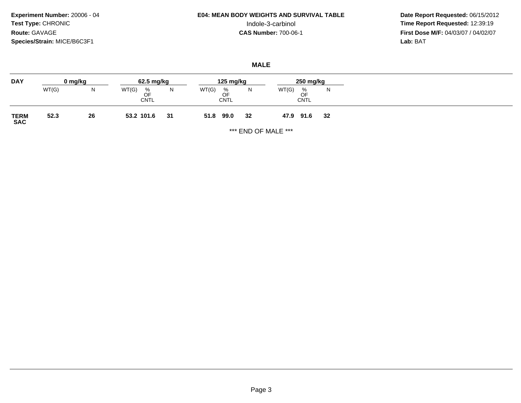**Experiment Number:** 20006 - 04**Test Type:** CHRONIC**Route:** GAVAGE**Species/Strain:** MICE/B6C3F1

# **E04: MEAN BODY WEIGHTS AND SURVIVAL TABLE**

 **Date Report Requested:** 06/15/2012 Indole-3-carbinol **Time Report Requested:** 12:39:19 **First Dose M/F:** 04/03/07 / 04/02/07<br>Lab: BAT **Lab:** BAT

### **MALE**

| <b>DAY</b>          |       | 0 mg/kg | 62.5 mg/kg                      |    | 125 mg/kg                                      |    | 250 mg/kg                       |    |
|---------------------|-------|---------|---------------------------------|----|------------------------------------------------|----|---------------------------------|----|
|                     | WT(G) | N       | WT(G)<br>%<br>OF<br><b>CNTL</b> | N  | WT(G)<br>$\frac{\%}{\text{OF}}$<br><b>CNTL</b> | N  | WT(G)<br>%<br>OF<br><b>CNTL</b> | N  |
| <b>TERM<br/>SAC</b> | 52.3  | 26      | 53.2 101.6                      | 31 | 99.0<br>51.8                                   | 32 | 47.9<br>91.6                    | 32 |

\*\*\* END OF MALE \*\*\*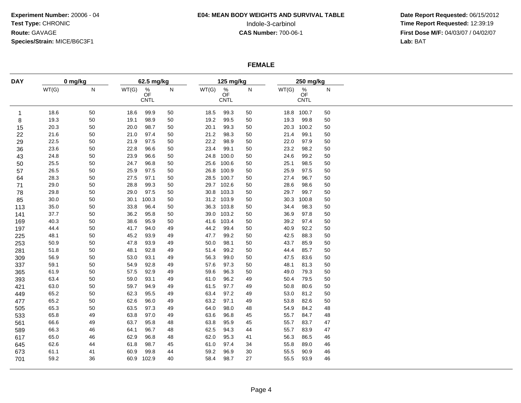# **E04: MEAN BODY WEIGHTS AND SURVIVAL TABLE**

 **Date Report Requested:** 06/15/2012 Indole-3-carbinol **Time Report Requested:** 12:39:19 **First Dose M/F:** 04/03/07 / 04/02/07<br>Lab: BAT **Lab:** BAT

### **FEMALE**

| 0 mg/kg<br>${\sf N}$<br>WT(G)<br>WT(G)<br>18.6<br>50<br>18.6<br>$\mathbf{1}$<br>19.3<br>50<br>19.1<br>8<br>15<br>20.3<br>20.0<br>50<br>21.6<br>50<br>21.0<br>22<br>22.5<br>50<br>21.9<br>29<br>23.6<br>22.8<br>36<br>50<br>50<br>23.9<br>24.8<br>43<br>25.5<br>24.7<br>50<br>50<br>26.5<br>25.9<br>57<br>50<br>28.3<br>50<br>27.5<br>64<br>29.0<br>50<br>28.8<br>71<br>78<br>29.0<br>29.8<br>50<br>30.1<br>85<br>30.0<br>50<br>33.8<br>113<br>35.0<br>50<br>37.7<br>36.2<br>141<br>50<br>40.3<br>50<br>38.6<br>169<br>50<br>41.7<br>44.4<br>197<br>45.2<br>225<br>48.1<br>50<br>47.8<br>50.9<br>50<br>253<br>48.1<br>51.8<br>50<br>281<br>309<br>56.9<br>50<br>53.0<br>337<br>59.1<br>50<br>54.9<br>57.5<br>61.9<br>50<br>365<br>59.0<br>393<br>63.4<br>50<br>59.7 | 62.5 mg/kg<br>$\frac{\%}{\text{OF}}$<br>N<br><b>CNTL</b><br>99.9<br>50<br>98.9<br>50<br>98.7<br>50<br>97.4<br>50<br>97.5<br>50<br>96.6<br>50<br>96.6<br>50<br>96.8<br>50<br>97.5<br>50<br>97.1<br>50<br>99.3<br>50 | WT(G)<br>18.5<br>19.2<br>20.1<br>21.2<br>22.2<br>23.4<br>24.8<br>25.6 | 125 mg/kg<br>$\frac{\%}{\text{OF}}$<br>CNTL<br>99.3<br>99.5<br>99.3<br>98.3<br>98.9<br>99.1<br>100.0 | ${\sf N}$<br>50<br>50<br>50<br>50<br>50 | WT(G)<br>19.3<br>20.3<br>21.4 | 250 mg/kg<br>$\frac{\%}{\text{OF}}$<br>CNTL<br>18.8 100.7<br>99.8<br>100.2 | ${\sf N}$<br>50<br>50 |
|--------------------------------------------------------------------------------------------------------------------------------------------------------------------------------------------------------------------------------------------------------------------------------------------------------------------------------------------------------------------------------------------------------------------------------------------------------------------------------------------------------------------------------------------------------------------------------------------------------------------------------------------------------------------------------------------------------------------------------------------------------------------|--------------------------------------------------------------------------------------------------------------------------------------------------------------------------------------------------------------------|-----------------------------------------------------------------------|------------------------------------------------------------------------------------------------------|-----------------------------------------|-------------------------------|----------------------------------------------------------------------------|-----------------------|
|                                                                                                                                                                                                                                                                                                                                                                                                                                                                                                                                                                                                                                                                                                                                                                    |                                                                                                                                                                                                                    |                                                                       |                                                                                                      |                                         |                               |                                                                            |                       |
|                                                                                                                                                                                                                                                                                                                                                                                                                                                                                                                                                                                                                                                                                                                                                                    |                                                                                                                                                                                                                    |                                                                       |                                                                                                      |                                         |                               |                                                                            |                       |
|                                                                                                                                                                                                                                                                                                                                                                                                                                                                                                                                                                                                                                                                                                                                                                    |                                                                                                                                                                                                                    |                                                                       |                                                                                                      |                                         |                               |                                                                            |                       |
|                                                                                                                                                                                                                                                                                                                                                                                                                                                                                                                                                                                                                                                                                                                                                                    |                                                                                                                                                                                                                    |                                                                       |                                                                                                      |                                         |                               |                                                                            | 50                    |
|                                                                                                                                                                                                                                                                                                                                                                                                                                                                                                                                                                                                                                                                                                                                                                    |                                                                                                                                                                                                                    |                                                                       |                                                                                                      |                                         |                               | 99.1                                                                       | 50                    |
|                                                                                                                                                                                                                                                                                                                                                                                                                                                                                                                                                                                                                                                                                                                                                                    |                                                                                                                                                                                                                    |                                                                       |                                                                                                      |                                         | 22.0                          | 97.9                                                                       | 50                    |
|                                                                                                                                                                                                                                                                                                                                                                                                                                                                                                                                                                                                                                                                                                                                                                    |                                                                                                                                                                                                                    |                                                                       |                                                                                                      | 50                                      | 23.2                          | 98.2                                                                       | 50                    |
|                                                                                                                                                                                                                                                                                                                                                                                                                                                                                                                                                                                                                                                                                                                                                                    |                                                                                                                                                                                                                    |                                                                       |                                                                                                      | 50                                      | 24.6                          | 99.2                                                                       | 50                    |
|                                                                                                                                                                                                                                                                                                                                                                                                                                                                                                                                                                                                                                                                                                                                                                    |                                                                                                                                                                                                                    |                                                                       | 100.6                                                                                                | 50                                      | 25.1                          | 98.5                                                                       | 50                    |
|                                                                                                                                                                                                                                                                                                                                                                                                                                                                                                                                                                                                                                                                                                                                                                    |                                                                                                                                                                                                                    |                                                                       | 26.8 100.9                                                                                           | 50                                      | 25.9                          | 97.5                                                                       | 50                    |
|                                                                                                                                                                                                                                                                                                                                                                                                                                                                                                                                                                                                                                                                                                                                                                    |                                                                                                                                                                                                                    | 28.5                                                                  | 100.7                                                                                                | 50                                      | 27.4                          | 96.7                                                                       | 50                    |
|                                                                                                                                                                                                                                                                                                                                                                                                                                                                                                                                                                                                                                                                                                                                                                    |                                                                                                                                                                                                                    | 29.7                                                                  | 102.6                                                                                                | 50                                      | 28.6                          | 98.6                                                                       | 50                    |
|                                                                                                                                                                                                                                                                                                                                                                                                                                                                                                                                                                                                                                                                                                                                                                    | 97.5<br>50                                                                                                                                                                                                         | 30.8                                                                  | 103.3                                                                                                | 50                                      | 29.7                          | 99.7                                                                       | 50                    |
|                                                                                                                                                                                                                                                                                                                                                                                                                                                                                                                                                                                                                                                                                                                                                                    | 100.3<br>50                                                                                                                                                                                                        |                                                                       | 31.2 103.9                                                                                           | 50                                      | 30.3                          | 100.8                                                                      | 50                    |
|                                                                                                                                                                                                                                                                                                                                                                                                                                                                                                                                                                                                                                                                                                                                                                    | 96.4<br>50                                                                                                                                                                                                         |                                                                       | 36.3 103.8                                                                                           | 50                                      | 34.4                          | 98.3                                                                       | 50                    |
|                                                                                                                                                                                                                                                                                                                                                                                                                                                                                                                                                                                                                                                                                                                                                                    | 95.8<br>50                                                                                                                                                                                                         | 39.0                                                                  | 103.2                                                                                                | 50                                      | 36.9                          | 97.8                                                                       | 50                    |
|                                                                                                                                                                                                                                                                                                                                                                                                                                                                                                                                                                                                                                                                                                                                                                    | 95.9<br>50                                                                                                                                                                                                         | 41.6                                                                  | 103.4                                                                                                | 50                                      | 39.2                          | 97.4                                                                       | 50                    |
|                                                                                                                                                                                                                                                                                                                                                                                                                                                                                                                                                                                                                                                                                                                                                                    | 94.0<br>49                                                                                                                                                                                                         | 44.2                                                                  | 99.4                                                                                                 | 50                                      | 40.9                          | 92.2                                                                       | 50                    |
|                                                                                                                                                                                                                                                                                                                                                                                                                                                                                                                                                                                                                                                                                                                                                                    | 93.9<br>49                                                                                                                                                                                                         | 47.7                                                                  | 99.2                                                                                                 | 50                                      | 42.5                          | 88.3                                                                       | 50                    |
|                                                                                                                                                                                                                                                                                                                                                                                                                                                                                                                                                                                                                                                                                                                                                                    | 93.9<br>49                                                                                                                                                                                                         | 50.0                                                                  | 98.1                                                                                                 | 50                                      | 43.7                          | 85.9                                                                       | 50                    |
|                                                                                                                                                                                                                                                                                                                                                                                                                                                                                                                                                                                                                                                                                                                                                                    | 92.8<br>49                                                                                                                                                                                                         | 51.4                                                                  | 99.2                                                                                                 | 50                                      | 44.4                          | 85.7                                                                       | 50                    |
|                                                                                                                                                                                                                                                                                                                                                                                                                                                                                                                                                                                                                                                                                                                                                                    | 93.1<br>49                                                                                                                                                                                                         | 56.3                                                                  | 99.0                                                                                                 | 50                                      | 47.5                          | 83.6                                                                       | 50                    |
|                                                                                                                                                                                                                                                                                                                                                                                                                                                                                                                                                                                                                                                                                                                                                                    | 92.8<br>49                                                                                                                                                                                                         | 57.6                                                                  | 97.3                                                                                                 | 50                                      | 48.1                          | 81.3                                                                       | 50                    |
|                                                                                                                                                                                                                                                                                                                                                                                                                                                                                                                                                                                                                                                                                                                                                                    | 92.9<br>49                                                                                                                                                                                                         | 59.6                                                                  | 96.3                                                                                                 | $50\,$                                  | 49.0                          | 79.3                                                                       | 50                    |
|                                                                                                                                                                                                                                                                                                                                                                                                                                                                                                                                                                                                                                                                                                                                                                    | 93.1<br>49                                                                                                                                                                                                         | 61.0                                                                  | 96.2                                                                                                 | 49                                      | 50.4                          | 79.5                                                                       | 50                    |
| 63.0<br>50<br>421                                                                                                                                                                                                                                                                                                                                                                                                                                                                                                                                                                                                                                                                                                                                                  | 94.9<br>49                                                                                                                                                                                                         | 61.5                                                                  | 97.7                                                                                                 | 49                                      | 50.8                          | 80.6                                                                       | 50                    |
| 62.3<br>65.2<br>50<br>449                                                                                                                                                                                                                                                                                                                                                                                                                                                                                                                                                                                                                                                                                                                                          | 95.5<br>49                                                                                                                                                                                                         | 63.4                                                                  | 97.2                                                                                                 | 49                                      | 53.0                          | 81.2                                                                       | 50                    |
| 477<br>65.2<br>50<br>62.6                                                                                                                                                                                                                                                                                                                                                                                                                                                                                                                                                                                                                                                                                                                                          | 96.0<br>49                                                                                                                                                                                                         | 63.2                                                                  | 97.1                                                                                                 | 49                                      | 53.8                          | 82.6                                                                       | 50                    |
| 63.5<br>65.3<br>50<br>505                                                                                                                                                                                                                                                                                                                                                                                                                                                                                                                                                                                                                                                                                                                                          | 97.3<br>49                                                                                                                                                                                                         | 64.0                                                                  | 98.0                                                                                                 | 48                                      | 54.9                          | 84.2                                                                       | 48                    |
| 49<br>63.8<br>65.8<br>533                                                                                                                                                                                                                                                                                                                                                                                                                                                                                                                                                                                                                                                                                                                                          | 97.0<br>49                                                                                                                                                                                                         | 63.6                                                                  | 96.8                                                                                                 | 45                                      | 55.7                          | 84.7                                                                       | 48                    |
| 63.7<br>66.6<br>49<br>561                                                                                                                                                                                                                                                                                                                                                                                                                                                                                                                                                                                                                                                                                                                                          | 95.8<br>48                                                                                                                                                                                                         | 63.8                                                                  | 95.9                                                                                                 | 45                                      | 55.7                          | 83.7                                                                       | 47                    |
| 66.3<br>46<br>64.1<br>589                                                                                                                                                                                                                                                                                                                                                                                                                                                                                                                                                                                                                                                                                                                                          | 96.7<br>48                                                                                                                                                                                                         | 62.5                                                                  | 94.3                                                                                                 | 44                                      | 55.7                          | 83.9                                                                       | 47                    |
| 65.0<br>46<br>62.9<br>617                                                                                                                                                                                                                                                                                                                                                                                                                                                                                                                                                                                                                                                                                                                                          | 96.8<br>48                                                                                                                                                                                                         | 62.0                                                                  | 95.3                                                                                                 | 41                                      | 56.3                          | 86.5                                                                       | 46                    |
| 645<br>62.6<br>61.8<br>44                                                                                                                                                                                                                                                                                                                                                                                                                                                                                                                                                                                                                                                                                                                                          | 98.7<br>45                                                                                                                                                                                                         | 61.0                                                                  | 97.4                                                                                                 | 34                                      | 55.8                          | 89.0                                                                       | 46                    |
| 61.1<br>60.9<br>673<br>41                                                                                                                                                                                                                                                                                                                                                                                                                                                                                                                                                                                                                                                                                                                                          | 99.8<br>44                                                                                                                                                                                                         | 59.2                                                                  | 96.9                                                                                                 | 30                                      | 55.5                          | 90.9                                                                       | 46                    |
| 59.2<br>36<br>60.9<br>102.9<br>701                                                                                                                                                                                                                                                                                                                                                                                                                                                                                                                                                                                                                                                                                                                                 |                                                                                                                                                                                                                    | 58.4                                                                  | 98.7                                                                                                 | 27                                      | 55.5                          | 93.9                                                                       | 46                    |